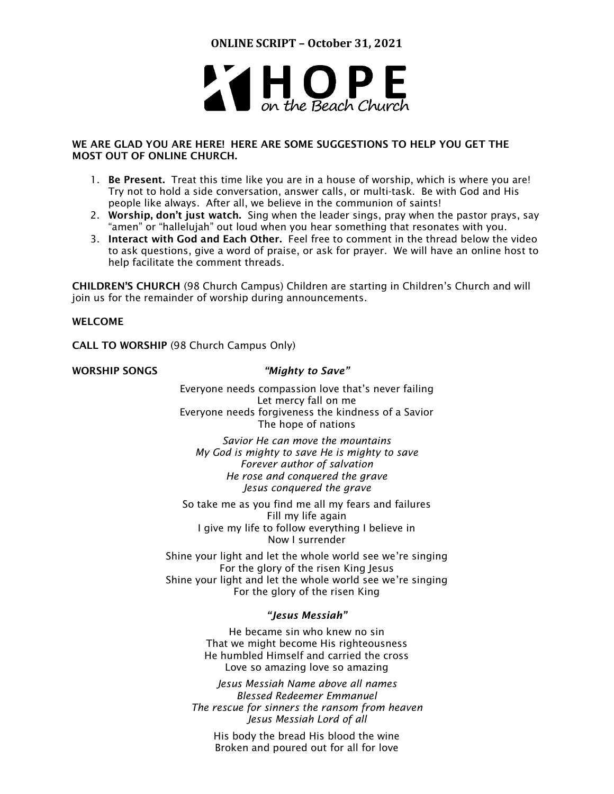

# WE ARE GLAD YOU ARE HERE! HERE ARE SOME SUGGESTIONS TO HELP YOU GET THE MOST OUT OF ONLINE CHURCH.

- 1. Be Present. Treat this time like you are in a house of worship, which is where you are! Try not to hold a side conversation, answer calls, or multi-task. Be with God and His people like always. After all, we believe in the communion of saints!
- 2. Worship, don't just watch. Sing when the leader sings, pray when the pastor prays, say "amen" or "hallelujah" out loud when you hear something that resonates with you.
- 3. Interact with God and Each Other. Feel free to comment in the thread below the video to ask questions, give a word of praise, or ask for prayer. We will have an online host to help facilitate the comment threads.

CHILDREN'S CHURCH (98 Church Campus) Children are starting in Children's Church and will join us for the remainder of worship during announcements.

# WELCOME

CALL TO WORSHIP (98 Church Campus Only)

# WORSHIP SONGS *"Mighty to Save"*

Everyone needs compassion love that's never failing Let mercy fall on me Everyone needs forgiveness the kindness of a Savior The hope of nations

*Savior He can move the mountains My God is mighty to save He is mighty to save Forever author of salvation He rose and conquered the grave Jesus conquered the grave*

So take me as you find me all my fears and failures Fill my life again I give my life to follow everything I believe in Now I surrender

Shine your light and let the whole world see we're singing For the glory of the risen King Jesus Shine your light and let the whole world see we're singing For the glory of the risen King

# *"Jesus Messiah"*

He became sin who knew no sin That we might become His righteousness He humbled Himself and carried the cross Love so amazing love so amazing

*Jesus Messiah Name above all names Blessed Redeemer Emmanuel The rescue for sinners the ransom from heaven Jesus Messiah Lord of all*

His body the bread His blood the wine Broken and poured out for all for love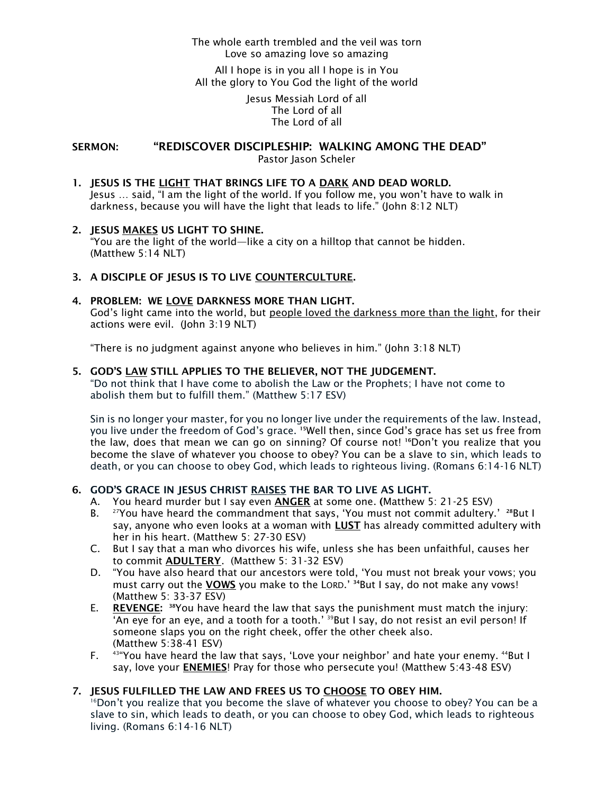# The whole earth trembled and the veil was torn Love so amazing love so amazing

All I hope is in you all I hope is in You All the glory to You God the light of the world

> Jesus Messiah Lord of all The Lord of all The Lord of all

SERMON: "REDISCOVER DISCIPLESHIP: WALKING AMONG THE DEAD" Pastor Jason Scheler

1. JESUS IS THE LIGHT THAT BRINGS LIFE TO A DARK AND DEAD WORLD. Jesus … said, "I am the light of the world. If you follow me, you won't have to walk in darkness, because you will have the light that leads to life." (John 8:12 NLT)

# 2. JESUS MAKES US LIGHT TO SHINE.

"You are the light of the world—like a city on a hilltop that cannot be hidden. (Matthew 5:14 NLT)

# 3. A DISCIPLE OF JESUS IS TO LIVE COUNTERCULTURE.

# 4. PROBLEM: WE LOVE DARKNESS MORE THAN LIGHT.

God's light came into the world, but people loved the darkness more than the light, for their actions were evil. (John 3:19 NLT)

"There is no judgment against anyone who believes in him." (John 3:18 NLT)

# 5. GOD'S LAW STILL APPLIES TO THE BELIEVER, NOT THE JUDGEMENT.

"Do not think that I have come to abolish the Law or the Prophets; I have not come to abolish them but to fulfill them." (Matthew 5:17 ESV)

Sin is no longer your master, for you no longer live under the requirements of the law. Instead, you live under the freedom of God's grace. <sup>[15](http://biblehub.com/romans/6-15.htm)</sup>Well then, since God's grace has set us free from the law, does that mean we can go on sinning? Of course not! <sup>[16](http://biblehub.com/romans/6-16.htm)</sup>Don't you realize that you become the slave of whatever you choose to obey? You can be a slave to sin, which leads to death, or you can choose to obey God, which leads to righteous living. (Romans 6:14-16 NLT)

# 6. GOD'S GRACE IN JESUS CHRIST RAISES THE BAR TO LIVE AS LIGHT.

- A. You heard murder but I say even ANGER at some one. (Matthew 5: 21-25 ESV)
- B.  $^{27}$ You have heard the commandment that says, 'You must not commit adultery.'  $^{28}$  $^{28}$  $^{28}$ But I say, anyone who even looks at a woman with **LUST** has already committed adultery with her in his heart. (Matthew 5: 27-30 ESV)
- C. But I say that a man who divorces his wife, unless she has been unfaithful, causes her to commit ADULTERY. (Matthew 5: 31-32 ESV)
- D. "You have also heard that our ancestors were told, 'You must not break your vows; you must carry out the **VOWS** you make to the LORD.' <sup>[34](http://biblehub.com/matthew/5-34.htm)</sup>But I say, do not make any vows! (Matthew 5: 33-37 ESV)
- E. REVENGE: <sup>38</sup>You have heard the law that says the punishment must match the injury: 'An eye for an eye, and a tooth for a tooth.' <sup>[39](http://biblehub.com/matthew/5-39.htm)</sup>But I say, do not resist an evil person! If someone slaps you on the right cheek, offer the other cheek also. (Matthew 5:38-41 ESV)
- F.  $43^{\mu}$ You have heard the law that says, 'Love your neighbor' and hate your enemy.  $44$ But I say, love your **ENEMIES!** Pray for those who persecute you! (Matthew 5:43-48 ESV)

# 7. JESUS FULFILLED THE LAW AND FREES US TO CHOOSE TO OBEY HIM.

 $16$ Don't you realize that you become the slave of whatever you choose to obey? You can be a slave to sin, which leads to death, or you can choose to obey God, which leads to righteous living. (Romans 6:14-16 NLT)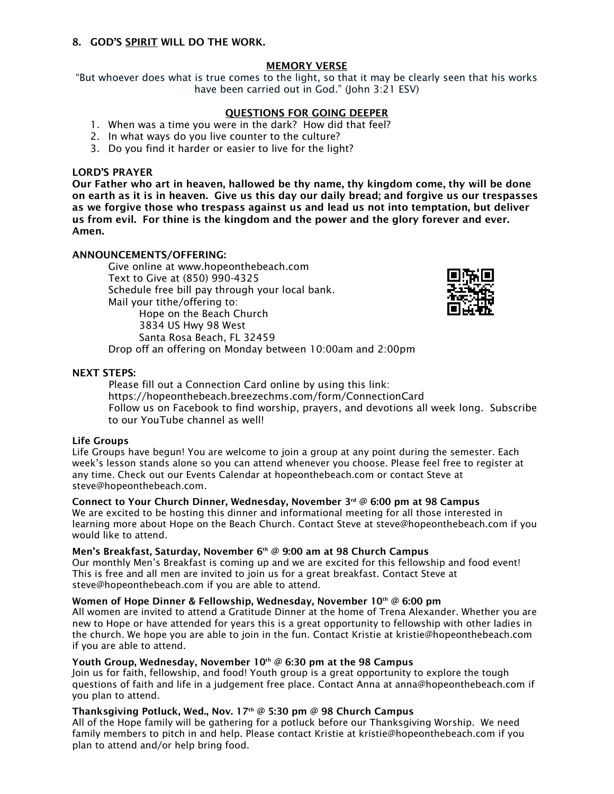#### 8. GOD'S SPIRIT WILL DO THE WORK.

# MEMORY VERSE

"But whoever does what is true comes to the light, so that it may be clearly seen that his works have been carried out in God." (John 3:21 ESV)

# QUESTIONS FOR GOING DEEPER

- 1. When was a time you were in the dark? How did that feel?
- 2. In what ways do you live counter to the culture?
- 3. Do you find it harder or easier to live for the light?

#### LORD'S PRAYER

Our Father who art in heaven, hallowed be thy name, thy kingdom come, thy will be done on earth as it is in heaven. Give us this day our daily bread; and forgive us our trespasses as we forgive those who trespass against us and lead us not into temptation, but deliver us from evil. For thine is the kingdom and the power and the glory forever and ever. Amen.

# ANNOUNCEMENTS/OFFERING:

Give online at [www.hopeonthebeach.com](http://www.hopeonthebeach.com/) Text to Give at (850) 990-4325 Schedule free bill pay through your local bank. Mail your tithe/offering to: Hope on the Beach Church 3834 US Hwy 98 West Santa Rosa Beach, FL 32459 Drop off an offering on Monday between 10:00am and 2:00pm



NEXT STEPS:

Please fill out a Connection Card online by using this link: <https://hopeonthebeach.breezechms.com/form/ConnectionCard> Follow us on Facebook to find worship, prayers, and devotions all week long. Subscribe to our YouTube channel as well!

#### Life Groups

Life Groups have begun! You are welcome to join a group at any point during the semester. Each week's lesson stands alone so you can attend whenever you choose. Please feel free to register at any time. Check out our Events Calendar at hopeonthebeach.com or contact Steve at steve@hopeonthebeach.com.

#### Connect to Your Church Dinner, Wednesday, November 3 rd @ 6:00 pm at 98 Campus

We are excited to be hosting this dinner and informational meeting for all those interested in learning more about Hope on the Beach Church. Contact Steve at [steve@hopeonthebeach.com](mailto:steve@hopeonthebeach.com) if you would like to attend.

#### Men's Breakfast, Saturday, November 6th @ 9:00 am at 98 Church Campus

Our monthly Men's Breakfast is coming up and we are excited for this fellowship and food event! This is free and all men are invited to join us for a great breakfast. Contact Steve at [steve@hopeonthebeach.com](mailto:steve@hopeonthebeach.com) if you are able to attend.

# Women of Hope Dinner & Fellowship, Wednesday, November 10th @ 6:00 pm

All women are invited to attend a Gratitude Dinner at the home of Trena Alexander. Whether you are new to Hope or have attended for years this is a great opportunity to fellowship with other ladies in the church. We hope you are able to join in the fun. Contact Kristie at kristie@hopeonthebeach.com if you are able to attend.

# Youth Group, Wednesday, November  $10<sup>th</sup>$  @ 6:30 pm at the 98 Campus

Join us for faith, fellowship, and food! Youth group is a great opportunity to explore the tough questions of faith and life in a judgement free place. Contact Anna at [anna@hopeonthebeach.com](mailto:anna@hopeonthebeach.com) if you plan to attend.

# Thanksgiving Potluck, Wed., Nov. 17<sup>th</sup> @ 5:30 pm @ 98 Church Campus

All of the Hope family will be gathering for a potluck before our Thanksgiving Worship. We need family members to pitch in and help. Please contact Kristie at kristie@hopeonthebeach.com if you plan to attend and/or help bring food.